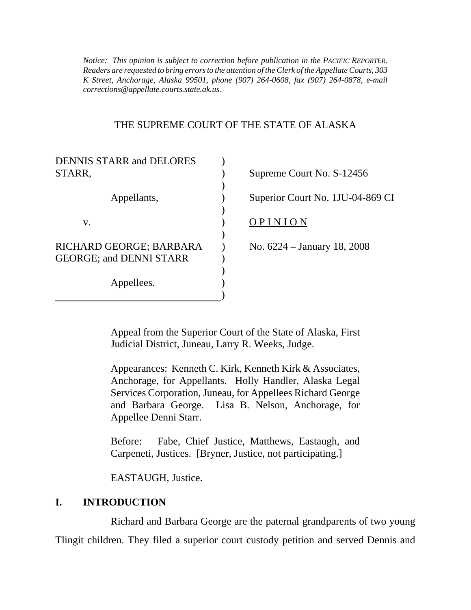*Notice: This opinion is subject to correction before publication in the PACIFIC REPORTER. Readers are requested to bring errors to the attention of the Clerk of the Appellate Courts, 303 K Street, Anchorage, Alaska 99501, phone (907) 264-0608, fax (907) 264-0878, e-mail corrections@appellate.courts.state.ak.us.*

#### THE SUPREME COURT OF THE STATE OF ALASKA

| <b>DENNIS STARR and DELORES</b> |                                  |
|---------------------------------|----------------------------------|
| STARR.                          | Supreme Court No. S-12456        |
|                                 |                                  |
| Appellants,                     | Superior Court No. 1JU-04-869 CI |
|                                 |                                  |
| V.                              | OPINION                          |
|                                 |                                  |
| RICHARD GEORGE; BARBARA         | No. 6224 – January 18, 2008      |
| <b>GEORGE: and DENNI STARR</b>  |                                  |
|                                 |                                  |
| Appellees.                      |                                  |
|                                 |                                  |

Appeal from the Superior Court of the State of Alaska, First Judicial District, Juneau, Larry R. Weeks, Judge.

Appearances: Kenneth C. Kirk, Kenneth Kirk & Associates, Anchorage, for Appellants. Holly Handler, Alaska Legal Services Corporation, Juneau, for Appellees Richard George and Barbara George. Lisa B. Nelson, Anchorage, for Appellee Denni Starr.

Before: Fabe, Chief Justice, Matthews, Eastaugh, and Carpeneti, Justices. [Bryner, Justice, not participating.]

EASTAUGH, Justice.

#### **I. INTRODUCTION**

Richard and Barbara George are the paternal grandparents of two young Tlingit children. They filed a superior court custody petition and served Dennis and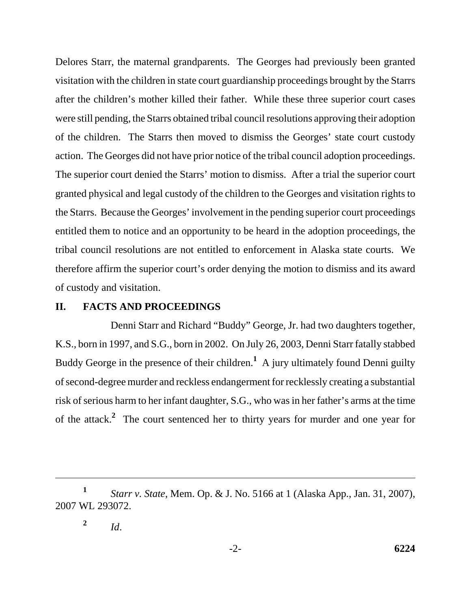Delores Starr, the maternal grandparents. The Georges had previously been granted visitation with the children in state court guardianship proceedings brought by the Starrs after the children's mother killed their father. While these three superior court cases were still pending, the Starrs obtained tribal council resolutions approving their adoption of the children. The Starrs then moved to dismiss the Georges' state court custody action. The Georges did not have prior notice of the tribal council adoption proceedings. The superior court denied the Starrs' motion to dismiss. After a trial the superior court granted physical and legal custody of the children to the Georges and visitation rights to the Starrs. Because the Georges' involvement in the pending superior court proceedings entitled them to notice and an opportunity to be heard in the adoption proceedings, the tribal council resolutions are not entitled to enforcement in Alaska state courts. We therefore affirm the superior court's order denying the motion to dismiss and its award of custody and visitation.

#### **II. FACTS AND PROCEEDINGS**

Denni Starr and Richard "Buddy" George, Jr. had two daughters together, K.S., born in 1997, and S.G., born in 2002. On July 26, 2003, Denni Starr fatally stabbed Buddy George in the presence of their children.<sup>1</sup> A jury ultimately found Denni guilty of second-degree murder and reckless endangerment for recklessly creating a substantial risk of serious harm to her infant daughter, S.G., who was in her father's arms at the time of the attack.**<sup>2</sup>** The court sentenced her to thirty years for murder and one year for

**<sup>1</sup>** *Starr v. State*, Mem. Op. & J. No. 5166 at 1 (Alaska App., Jan. 31, 2007), 2007 WL 293072.

<sup>&</sup>lt;sup>2</sup> *Id.*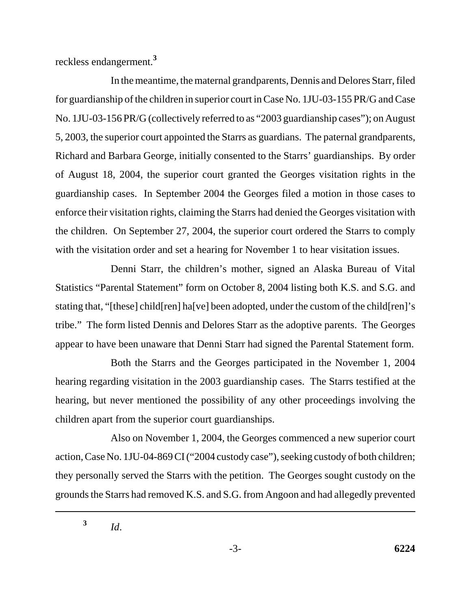reckless endangerment.**<sup>3</sup>**

In the meantime, the maternal grandparents, Dennis and Delores Starr, filed for guardianship of the children in superior court in Case No. 1JU-03-155 PR/G and Case No. 1JU-03-156 PR/G (collectively referred to as "2003 guardianship cases"); on August 5, 2003, the superior court appointed the Starrs as guardians. The paternal grandparents, Richard and Barbara George, initially consented to the Starrs' guardianships. By order of August 18, 2004, the superior court granted the Georges visitation rights in the guardianship cases. In September 2004 the Georges filed a motion in those cases to enforce their visitation rights, claiming the Starrs had denied the Georges visitation with the children. On September 27, 2004, the superior court ordered the Starrs to comply with the visitation order and set a hearing for November 1 to hear visitation issues.

Denni Starr, the children's mother, signed an Alaska Bureau of Vital Statistics "Parental Statement" form on October 8, 2004 listing both K.S. and S.G. and stating that, "[these] child[ren] ha[ve] been adopted, under the custom of the child[ren]'s tribe." The form listed Dennis and Delores Starr as the adoptive parents. The Georges appear to have been unaware that Denni Starr had signed the Parental Statement form.

Both the Starrs and the Georges participated in the November 1, 2004 hearing regarding visitation in the 2003 guardianship cases. The Starrs testified at the hearing, but never mentioned the possibility of any other proceedings involving the children apart from the superior court guardianships.

Also on November 1, 2004, the Georges commenced a new superior court action, Case No. 1JU-04-869 CI ("2004 custody case"), seeking custody of both children; they personally served the Starrs with the petition. The Georges sought custody on the grounds the Starrs had removed K.S. and S.G. from Angoon and had allegedly prevented

**<sup>3</sup>** *Id*.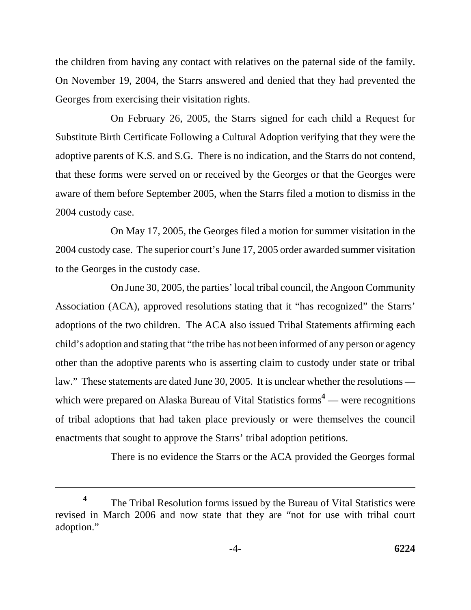the children from having any contact with relatives on the paternal side of the family. On November 19, 2004, the Starrs answered and denied that they had prevented the Georges from exercising their visitation rights.

On February 26, 2005, the Starrs signed for each child a Request for Substitute Birth Certificate Following a Cultural Adoption verifying that they were the adoptive parents of K.S. and S.G. There is no indication, and the Starrs do not contend, that these forms were served on or received by the Georges or that the Georges were aware of them before September 2005, when the Starrs filed a motion to dismiss in the 2004 custody case.

On May 17, 2005, the Georges filed a motion for summer visitation in the 2004 custody case. The superior court's June 17, 2005 order awarded summer visitation to the Georges in the custody case.

On June 30, 2005, the parties' local tribal council, the Angoon Community Association (ACA), approved resolutions stating that it "has recognized" the Starrs' adoptions of the two children. The ACA also issued Tribal Statements affirming each child's adoption and stating that "the tribe has not been informed of any person or agency other than the adoptive parents who is asserting claim to custody under state or tribal law." These statements are dated June 30, 2005. It is unclear whether the resolutions which were prepared on Alaska Bureau of Vital Statistics forms<sup>4</sup> — were recognitions of tribal adoptions that had taken place previously or were themselves the council enactments that sought to approve the Starrs' tribal adoption petitions.

There is no evidence the Starrs or the ACA provided the Georges formal

**<sup>4</sup>** The Tribal Resolution forms issued by the Bureau of Vital Statistics were revised in March 2006 and now state that they are "not for use with tribal court adoption."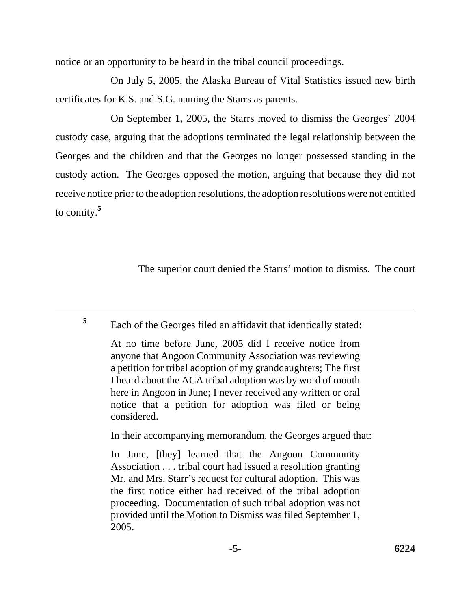notice or an opportunity to be heard in the tribal council proceedings.

On July 5, 2005, the Alaska Bureau of Vital Statistics issued new birth certificates for K.S. and S.G. naming the Starrs as parents.

On September 1, 2005, the Starrs moved to dismiss the Georges' 2004 custody case, arguing that the adoptions terminated the legal relationship between the Georges and the children and that the Georges no longer possessed standing in the custody action. The Georges opposed the motion, arguing that because they did not receive notice prior to the adoption resolutions, the adoption resolutions were not entitled to comity.**<sup>5</sup>**

The superior court denied the Starrs' motion to dismiss. The court

**<sup>5</sup>** Each of the Georges filed an affidavit that identically stated:

At no time before June, 2005 did I receive notice from anyone that Angoon Community Association was reviewing a petition for tribal adoption of my granddaughters; The first I heard about the ACA tribal adoption was by word of mouth here in Angoon in June; I never received any written or oral notice that a petition for adoption was filed or being considered.

In their accompanying memorandum, the Georges argued that:

In June, [they] learned that the Angoon Community Association . . . tribal court had issued a resolution granting Mr. and Mrs. Starr's request for cultural adoption. This was the first notice either had received of the tribal adoption proceeding. Documentation of such tribal adoption was not provided until the Motion to Dismiss was filed September 1, 2005.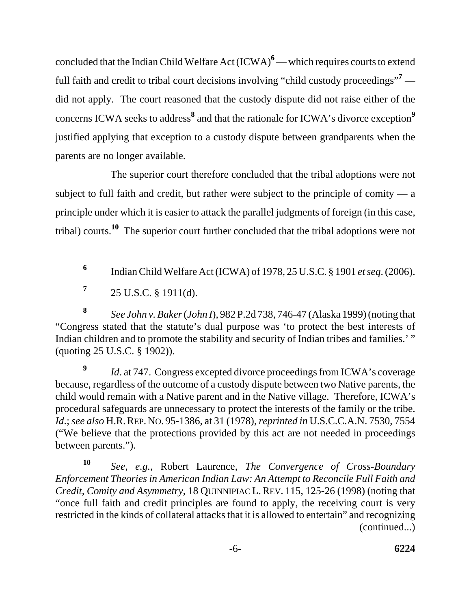concluded that the Indian Child Welfare Act (ICWA)<sup>6</sup> — which requires courts to extend full faith and credit to tribal court decisions involving "child custody proceedings"<sup>7</sup> did not apply. The court reasoned that the custody dispute did not raise either of the concerns ICWA seeks to address<sup>8</sup> and that the rationale for ICWA's divorce exception<sup>9</sup> justified applying that exception to a custody dispute between grandparents when the parents are no longer available.

The superior court therefore concluded that the tribal adoptions were not subject to full faith and credit, but rather were subject to the principle of comity  $- a$ principle under which it is easier to attack the parallel judgments of foreign (in this case, tribal) courts.**10** The superior court further concluded that the tribal adoptions were not

- **<sup>6</sup>** Indian Child Welfare Act (ICWA) of 1978, 25 U.S.C. § 1901 *et seq*. (2006).
- $7^{\circ}$  25 U.S.C. § 1911(d).

**<sup>8</sup>** *See John v. Baker* (*John I*), 982 P.2d 738, 746-47 (Alaska 1999) (noting that "Congress stated that the statute's dual purpose was 'to protect the best interests of Indian children and to promote the stability and security of Indian tribes and families.' " (quoting 25 U.S.C. § 1902)).

*Id.* at 747. Congress excepted divorce proceedings from ICWA's coverage because, regardless of the outcome of a custody dispute between two Native parents, the child would remain with a Native parent and in the Native village. Therefore, ICWA's procedural safeguards are unnecessary to protect the interests of the family or the tribe. *Id*.; *see also* H.R.REP.NO. 95-1386, at 31 (1978), *reprinted in* U.S.C.C.A.N. 7530, 7554 ("We believe that the protections provided by this act are not needed in proceedings between parents.").

**<sup>10</sup>** *See, e.g.*, Robert Laurence, *The Convergence of Cross-Boundary Enforcement Theories in American Indian Law: An Attempt to Reconcile Full Faith and Credit, Comity and Asymmetry*, 18 QUINNIPIAC L.REV. 115, 125-26 (1998) (noting that "once full faith and credit principles are found to apply, the receiving court is very restricted in the kinds of collateral attacks that it is allowed to entertain" and recognizing (continued...)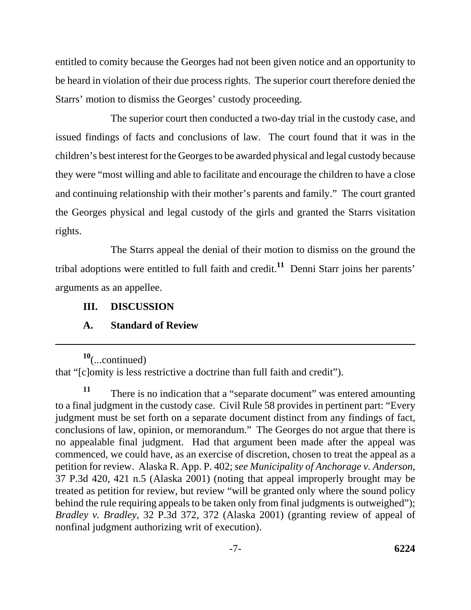entitled to comity because the Georges had not been given notice and an opportunity to be heard in violation of their due process rights. The superior court therefore denied the Starrs' motion to dismiss the Georges' custody proceeding.

The superior court then conducted a two-day trial in the custody case, and issued findings of facts and conclusions of law. The court found that it was in the children's best interest for the Georges to be awarded physical and legal custody because they were "most willing and able to facilitate and encourage the children to have a close and continuing relationship with their mother's parents and family." The court granted the Georges physical and legal custody of the girls and granted the Starrs visitation rights.

The Starrs appeal the denial of their motion to dismiss on the ground the tribal adoptions were entitled to full faith and credit.**11** Denni Starr joins her parents' arguments as an appellee.

## **III. DISCUSSION**

### **A. Standard of Review**

**<sup>10</sup>**(...continued) that "[c]omity is less restrictive a doctrine than full faith and credit").

**<sup>11</sup>** There is no indication that a "separate document" was entered amounting to a final judgment in the custody case. Civil Rule 58 provides in pertinent part: "Every judgment must be set forth on a separate document distinct from any findings of fact, conclusions of law, opinion, or memorandum." The Georges do not argue that there is no appealable final judgment. Had that argument been made after the appeal was commenced, we could have, as an exercise of discretion, chosen to treat the appeal as a petition for review. Alaska R. App. P. 402; *see Municipality of Anchorage v. Anderson*, 37 P.3d 420, 421 n.5 (Alaska 2001) (noting that appeal improperly brought may be treated as petition for review, but review "will be granted only where the sound policy behind the rule requiring appeals to be taken only from final judgments is outweighed"); *Bradley v. Bradley*, 32 P.3d 372, 372 (Alaska 2001) (granting review of appeal of nonfinal judgment authorizing writ of execution).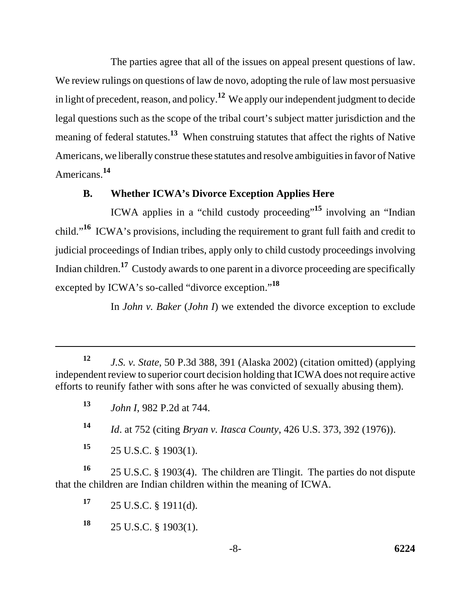The parties agree that all of the issues on appeal present questions of law. We review rulings on questions of law de novo, adopting the rule of law most persuasive in light of precedent, reason, and policy.**12** We apply our independent judgment to decide legal questions such as the scope of the tribal court's subject matter jurisdiction and the meaning of federal statutes.**13** When construing statutes that affect the rights of Native Americans, we liberally construe these statutes and resolve ambiguities in favor of Native Americans.**<sup>14</sup>**

## **B. Whether ICWA's Divorce Exception Applies Here**

ICWA applies in a "child custody proceeding"**15** involving an "Indian child."**16** ICWA's provisions, including the requirement to grant full faith and credit to judicial proceedings of Indian tribes, apply only to child custody proceedings involving Indian children.**17** Custody awards to one parent in a divorce proceeding are specifically excepted by ICWA's so-called "divorce exception."**<sup>18</sup>**

In *John v. Baker* (*John I*) we extended the divorce exception to exclude

**<sup>12</sup>** *J.S. v. State*, 50 P.3d 388, 391 (Alaska 2002) (citation omitted) (applying independent review to superior court decision holding that ICWA does not require active efforts to reunify father with sons after he was convicted of sexually abusing them).

**<sup>13</sup>** *John I*, 982 P.2d at 744.

**<sup>14</sup>** *Id*. at 752 (citing *Bryan v. Itasca County*, 426 U.S. 373, 392 (1976)).

**<sup>15</sup>** 25 U.S.C. § 1903(1).

**<sup>16</sup>** 25 U.S.C. § 1903(4). The children are Tlingit. The parties do not dispute that the children are Indian children within the meaning of ICWA.

**<sup>17</sup>** 25 U.S.C. § 1911(d).

**<sup>18</sup>** 25 U.S.C. § 1903(1).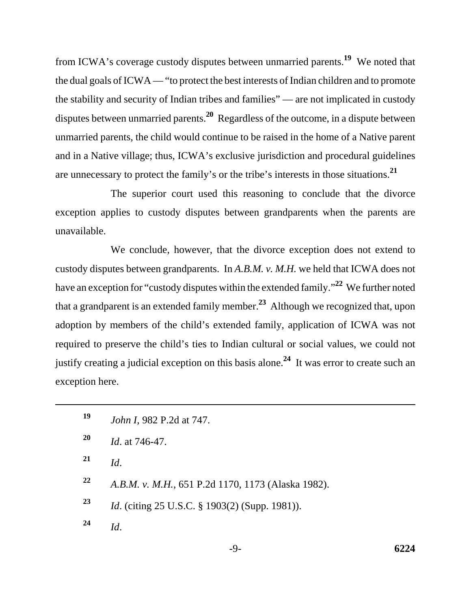from ICWA's coverage custody disputes between unmarried parents.**19** We noted that the dual goals of ICWA — "to protect the best interests of Indian children and to promote the stability and security of Indian tribes and families" — are not implicated in custody disputes between unmarried parents.**20** Regardless of the outcome, in a dispute between unmarried parents, the child would continue to be raised in the home of a Native parent and in a Native village; thus, ICWA's exclusive jurisdiction and procedural guidelines are unnecessary to protect the family's or the tribe's interests in those situations.**<sup>21</sup>**

The superior court used this reasoning to conclude that the divorce exception applies to custody disputes between grandparents when the parents are unavailable.

We conclude, however, that the divorce exception does not extend to custody disputes between grandparents. In *A.B.M. v. M.H.* we held that ICWA does not have an exception for "custody disputes within the extended family."**22** We further noted that a grandparent is an extended family member.**23** Although we recognized that, upon adoption by members of the child's extended family, application of ICWA was not required to preserve the child's ties to Indian cultural or social values, we could not justify creating a judicial exception on this basis alone.**24** It was error to create such an exception here.

| 19        | <i>John I</i> , 982 P.2d at 747.                      |
|-----------|-------------------------------------------------------|
| <b>20</b> | <i>Id.</i> at 746-47.                                 |
| 21        | Id.                                                   |
| 22        | A.B.M. v. M.H., 651 P.2d 1170, 1173 (Alaska 1982).    |
| 23        | <i>Id.</i> (citing 25 U.S.C. § 1903(2) (Supp. 1981)). |
| 24        | Id.                                                   |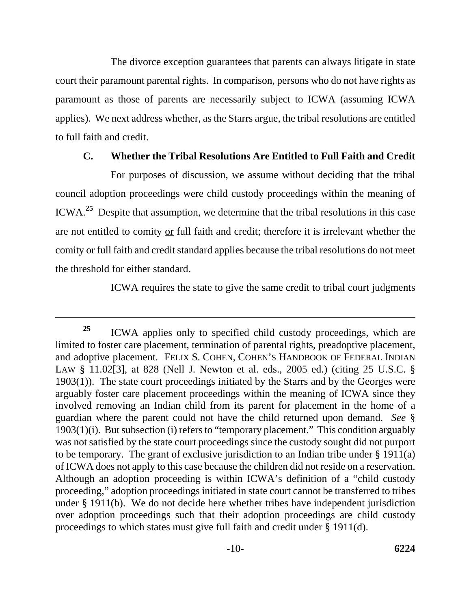The divorce exception guarantees that parents can always litigate in state court their paramount parental rights. In comparison, persons who do not have rights as paramount as those of parents are necessarily subject to ICWA (assuming ICWA applies). We next address whether, as the Starrs argue, the tribal resolutions are entitled to full faith and credit.

## **C. Whether the Tribal Resolutions Are Entitled to Full Faith and Credit**

For purposes of discussion, we assume without deciding that the tribal council adoption proceedings were child custody proceedings within the meaning of ICWA.**25** Despite that assumption, we determine that the tribal resolutions in this case are not entitled to comity or full faith and credit; therefore it is irrelevant whether the comity or full faith and credit standard applies because the tribal resolutions do not meet the threshold for either standard.

ICWA requires the state to give the same credit to tribal court judgments

**<sup>25</sup>** ICWA applies only to specified child custody proceedings, which are limited to foster care placement, termination of parental rights, preadoptive placement, and adoptive placement. FELIX S. COHEN, COHEN'S HANDBOOK OF FEDERAL INDIAN LAW § 11.02[3], at 828 (Nell J. Newton et al. eds., 2005 ed.) (citing 25 U.S.C. § 1903(1)). The state court proceedings initiated by the Starrs and by the Georges were arguably foster care placement proceedings within the meaning of ICWA since they involved removing an Indian child from its parent for placement in the home of a guardian where the parent could not have the child returned upon demand. *See* § 1903(1)(i). But subsection (i) refers to "temporary placement." This condition arguably was not satisfied by the state court proceedings since the custody sought did not purport to be temporary. The grant of exclusive jurisdiction to an Indian tribe under § 1911(a) of ICWA does not apply to this case because the children did not reside on a reservation. Although an adoption proceeding is within ICWA's definition of a "child custody proceeding," adoption proceedings initiated in state court cannot be transferred to tribes under § 1911(b). We do not decide here whether tribes have independent jurisdiction over adoption proceedings such that their adoption proceedings are child custody proceedings to which states must give full faith and credit under § 1911(d).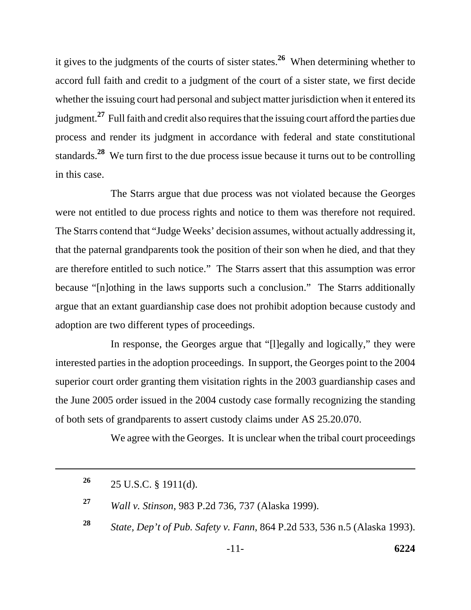it gives to the judgments of the courts of sister states.**26** When determining whether to accord full faith and credit to a judgment of the court of a sister state, we first decide whether the issuing court had personal and subject matter jurisdiction when it entered its judgment.**27** Full faith and credit also requires that the issuing court afford the parties due process and render its judgment in accordance with federal and state constitutional standards.**28** We turn first to the due process issue because it turns out to be controlling in this case.

The Starrs argue that due process was not violated because the Georges were not entitled to due process rights and notice to them was therefore not required. The Starrs contend that "Judge Weeks' decision assumes, without actually addressing it, that the paternal grandparents took the position of their son when he died, and that they are therefore entitled to such notice." The Starrs assert that this assumption was error because "[n]othing in the laws supports such a conclusion." The Starrs additionally argue that an extant guardianship case does not prohibit adoption because custody and adoption are two different types of proceedings.

In response, the Georges argue that "[l]egally and logically," they were interested parties in the adoption proceedings. In support, the Georges point to the 2004 superior court order granting them visitation rights in the 2003 guardianship cases and the June 2005 order issued in the 2004 custody case formally recognizing the standing of both sets of grandparents to assert custody claims under AS 25.20.070.

We agree with the Georges. It is unclear when the tribal court proceedings

**<sup>28</sup>** *State, Dep't of Pub. Safety v. Fann*, 864 P.2d 533, 536 n.5 (Alaska 1993).

**<sup>26</sup>** 25 U.S.C. § 1911(d).

**<sup>27</sup>** *Wall v. Stinson*, 983 P.2d 736, 737 (Alaska 1999).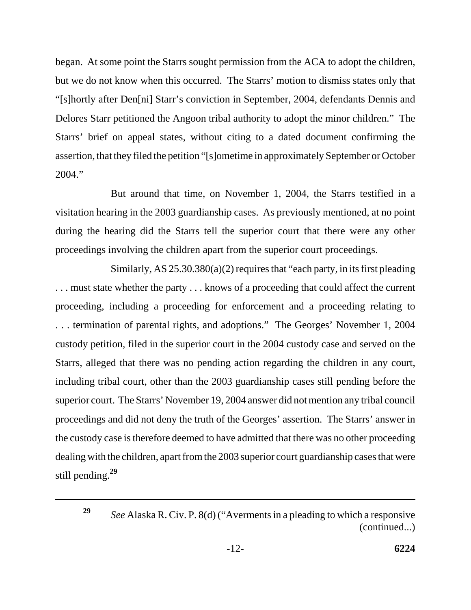began. At some point the Starrs sought permission from the ACA to adopt the children, but we do not know when this occurred. The Starrs' motion to dismiss states only that "[s]hortly after Den[ni] Starr's conviction in September, 2004, defendants Dennis and Delores Starr petitioned the Angoon tribal authority to adopt the minor children." The Starrs' brief on appeal states, without citing to a dated document confirming the assertion, that they filed the petition "[s]ometime in approximately September or October 2004."

But around that time, on November 1, 2004, the Starrs testified in a visitation hearing in the 2003 guardianship cases. As previously mentioned, at no point during the hearing did the Starrs tell the superior court that there were any other proceedings involving the children apart from the superior court proceedings.

Similarly, AS  $25.30.380(a)(2)$  requires that "each party, in its first pleading ... must state whether the party ... knows of a proceeding that could affect the current proceeding, including a proceeding for enforcement and a proceeding relating to . . . termination of parental rights, and adoptions." The Georges' November 1, 2004 custody petition, filed in the superior court in the 2004 custody case and served on the Starrs, alleged that there was no pending action regarding the children in any court, including tribal court, other than the 2003 guardianship cases still pending before the superior court. The Starrs' November 19, 2004 answer did not mention any tribal council proceedings and did not deny the truth of the Georges' assertion. The Starrs' answer in the custody case is therefore deemed to have admitted that there was no other proceeding dealing with the children, apart from the 2003 superior court guardianship cases that were still pending.**<sup>29</sup>**

**<sup>29</sup>** *See* Alaska R. Civ. P. 8(d) ("Averments in a pleading to which a responsive (continued...)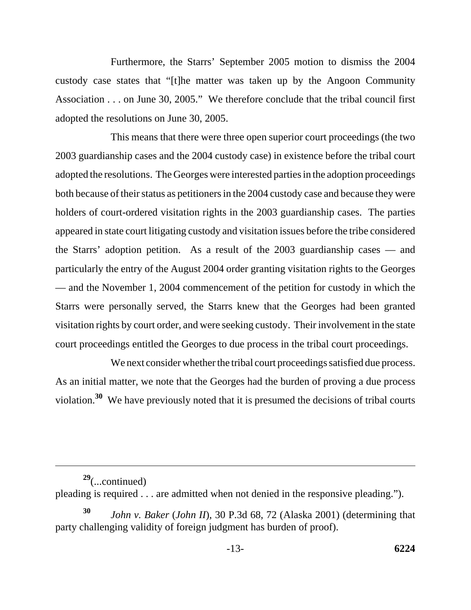Furthermore, the Starrs' September 2005 motion to dismiss the 2004 custody case states that "[t]he matter was taken up by the Angoon Community Association . . . on June 30, 2005." We therefore conclude that the tribal council first adopted the resolutions on June 30, 2005.

This means that there were three open superior court proceedings (the two 2003 guardianship cases and the 2004 custody case) in existence before the tribal court adopted the resolutions. The Georges were interested parties in the adoption proceedings both because of their status as petitioners in the 2004 custody case and because they were holders of court-ordered visitation rights in the 2003 guardianship cases. The parties appeared in state court litigating custody and visitation issues before the tribe considered the Starrs' adoption petition. As a result of the 2003 guardianship cases — and particularly the entry of the August 2004 order granting visitation rights to the Georges — and the November 1, 2004 commencement of the petition for custody in which the Starrs were personally served, the Starrs knew that the Georges had been granted visitation rights by court order, and were seeking custody. Their involvement in the state court proceedings entitled the Georges to due process in the tribal court proceedings.

We next consider whether the tribal court proceedings satisfied due process. As an initial matter, we note that the Georges had the burden of proving a due process violation.**30** We have previously noted that it is presumed the decisions of tribal courts

**<sup>29</sup>**(...continued)

pleading is required . . . are admitted when not denied in the responsive pleading.").

**<sup>30</sup>** *John v. Baker* (*John II*), 30 P.3d 68, 72 (Alaska 2001) (determining that party challenging validity of foreign judgment has burden of proof).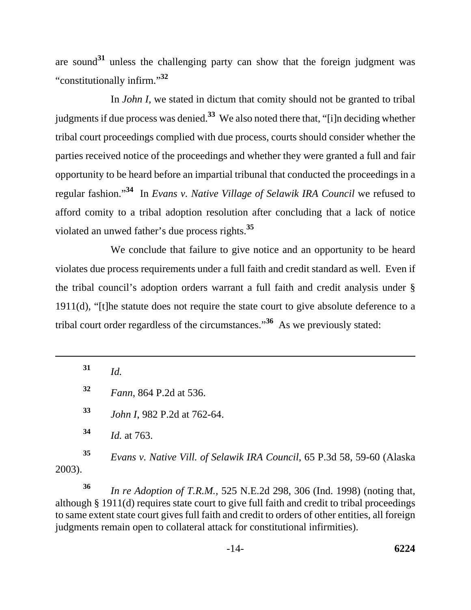are sound**31** unless the challenging party can show that the foreign judgment was "constitutionally infirm."**<sup>32</sup>**

In *John I*, we stated in dictum that comity should not be granted to tribal judgments if due process was denied.**33** We also noted there that, "[i]n deciding whether tribal court proceedings complied with due process, courts should consider whether the parties received notice of the proceedings and whether they were granted a full and fair opportunity to be heard before an impartial tribunal that conducted the proceedings in a regular fashion."**34** In *Evans v. Native Village of Selawik IRA Council* we refused to afford comity to a tribal adoption resolution after concluding that a lack of notice violated an unwed father's due process rights.**<sup>35</sup>**

We conclude that failure to give notice and an opportunity to be heard violates due process requirements under a full faith and credit standard as well. Even if the tribal council's adoption orders warrant a full faith and credit analysis under § 1911(d), "[t]he statute does not require the state court to give absolute deference to a tribal court order regardless of the circumstances.<sup>36</sup> As we previously stated:

**<sup>31</sup>** *Id.*

**<sup>32</sup>** *Fann*, 864 P.2d at 536.

**<sup>33</sup>** *John I*, 982 P.2d at 762-64.

**<sup>34</sup>** *Id.* at 763.

**<sup>35</sup>** *Evans v. Native Vill. of Selawik IRA Council*, 65 P.3d 58, 59-60 (Alaska 2003).

**<sup>36</sup>** *In re Adoption of T.R.M.*, 525 N.E.2d 298, 306 (Ind. 1998) (noting that, although § 1911(d) requires state court to give full faith and credit to tribal proceedings to same extent state court gives full faith and credit to orders of other entities, all foreign judgments remain open to collateral attack for constitutional infirmities).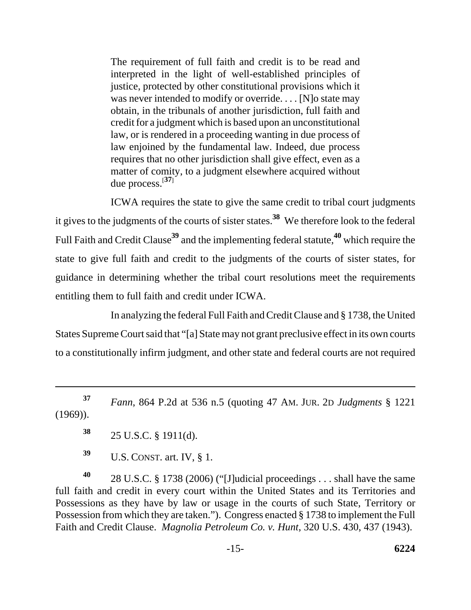The requirement of full faith and credit is to be read and interpreted in the light of well-established principles of justice, protected by other constitutional provisions which it was never intended to modify or override. . . . [N]o state may obtain, in the tribunals of another jurisdiction, full faith and credit for a judgment which is based upon an unconstitutional law, or is rendered in a proceeding wanting in due process of law enjoined by the fundamental law. Indeed, due process requires that no other jurisdiction shall give effect, even as a matter of comity, to a judgment elsewhere acquired without due process.[**<sup>37</sup>**]

ICWA requires the state to give the same credit to tribal court judgments it gives to the judgments of the courts of sister states.**38** We therefore look to the federal Full Faith and Credit Clause**39** and the implementing federal statute,**40** which require the state to give full faith and credit to the judgments of the courts of sister states, for guidance in determining whether the tribal court resolutions meet the requirements entitling them to full faith and credit under ICWA.

In analyzing the federal Full Faith and Credit Clause and § 1738, the United States Supreme Court said that "[a] State may not grant preclusive effect in its own courts to a constitutionally infirm judgment, and other state and federal courts are not required

**<sup>37</sup>** *Fann*, 864 P.2d at 536 n.5 (quoting 47 AM. JUR. 2D *Judgments* § 1221 (1969)).

**<sup>38</sup>** 25 U.S.C. § 1911(d).

**<sup>39</sup>** U.S. CONST. art. IV, § 1.

**<sup>40</sup>** 28 U.S.C. § 1738 (2006) ("[J]udicial proceedings . . . shall have the same full faith and credit in every court within the United States and its Territories and Possessions as they have by law or usage in the courts of such State, Territory or Possession from which they are taken."). Congress enacted § 1738 to implement the Full Faith and Credit Clause. *Magnolia Petroleum Co. v. Hunt*, 320 U.S. 430, 437 (1943).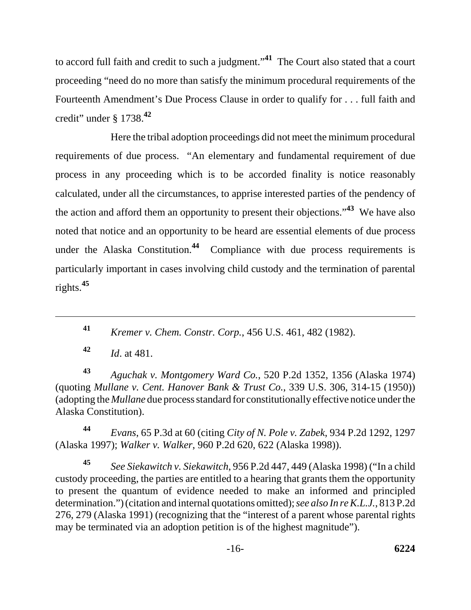to accord full faith and credit to such a judgment."**41** The Court also stated that a court proceeding "need do no more than satisfy the minimum procedural requirements of the Fourteenth Amendment's Due Process Clause in order to qualify for . . . full faith and credit" under § 1738.**<sup>42</sup>**

Here the tribal adoption proceedings did not meet the minimum procedural requirements of due process. "An elementary and fundamental requirement of due process in any proceeding which is to be accorded finality is notice reasonably calculated, under all the circumstances, to apprise interested parties of the pendency of the action and afford them an opportunity to present their objections."**43** We have also noted that notice and an opportunity to be heard are essential elements of due process under the Alaska Constitution.**44** Compliance with due process requirements is particularly important in cases involving child custody and the termination of parental rights.**<sup>45</sup>**

**<sup>41</sup>** *Kremer v. Chem. Constr. Corp.*, 456 U.S. 461, 482 (1982).

**<sup>42</sup>** *Id*. at 481.

**<sup>43</sup>** *Aguchak v. Montgomery Ward Co.*, 520 P.2d 1352, 1356 (Alaska 1974) (quoting *Mullane v. Cent. Hanover Bank & Trust Co.*, 339 U.S. 306, 314-15 (1950)) (adopting the *Mullane* due process standard for constitutionally effective notice under the Alaska Constitution).

**<sup>44</sup>** *Evans*, 65 P.3d at 60 (citing *City of N. Pole v. Zabek*, 934 P.2d 1292, 1297 (Alaska 1997); *Walker v. Walker*, 960 P.2d 620, 622 (Alaska 1998)).

**<sup>45</sup>** *See Siekawitch v. Siekawitch*, 956 P.2d 447, 449 (Alaska 1998) ("In a child custody proceeding, the parties are entitled to a hearing that grants them the opportunity to present the quantum of evidence needed to make an informed and principled determination.") (citation and internal quotations omitted); *see also In re K.L.J.*, 813 P.2d 276, 279 (Alaska 1991) (recognizing that the "interest of a parent whose parental rights may be terminated via an adoption petition is of the highest magnitude").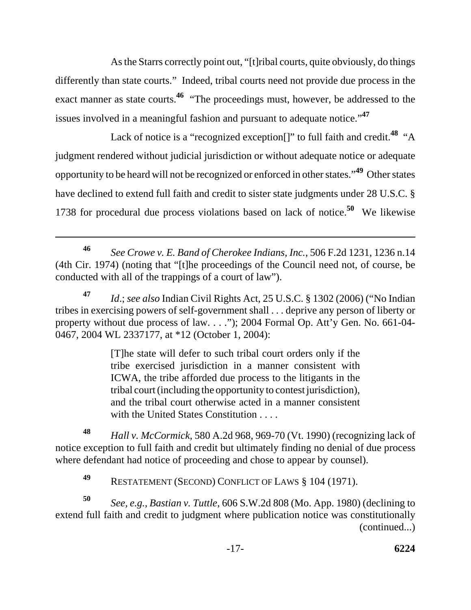As the Starrs correctly point out, "[t]ribal courts, quite obviously, do things differently than state courts." Indeed, tribal courts need not provide due process in the exact manner as state courts.<sup>46</sup> "The proceedings must, however, be addressed to the issues involved in a meaningful fashion and pursuant to adequate notice."**<sup>47</sup>**

Lack of notice is a "recognized exception[]" to full faith and credit.**48** "A judgment rendered without judicial jurisdiction or without adequate notice or adequate opportunity to be heard will not be recognized or enforced in other states."**49** Other states have declined to extend full faith and credit to sister state judgments under 28 U.S.C. § 1738 for procedural due process violations based on lack of notice.**50** We likewise

**<sup>47</sup>** *Id*.; *see also* Indian Civil Rights Act, 25 U.S.C. § 1302 (2006) ("No Indian tribes in exercising powers of self-government shall . . . deprive any person of liberty or property without due process of law. . . ."); 2004 Formal Op. Att'y Gen. No. 661-04- 0467, 2004 WL 2337177, at \*12 (October 1, 2004):

> [T]he state will defer to such tribal court orders only if the tribe exercised jurisdiction in a manner consistent with ICWA, the tribe afforded due process to the litigants in the tribal court (including the opportunity to contest jurisdiction), and the tribal court otherwise acted in a manner consistent with the United States Constitution . . . .

**<sup>48</sup>** *Hall v. McCormick*, 580 A.2d 968, 969-70 (Vt. 1990) (recognizing lack of notice exception to full faith and credit but ultimately finding no denial of due process where defendant had notice of proceeding and chose to appear by counsel).

**<sup>49</sup>** RESTATEMENT (SECOND) CONFLICT OF LAWS § 104 (1971).

**<sup>50</sup>** *See, e.g.*, *Bastian v. Tuttle*, 606 S.W.2d 808 (Mo. App. 1980) (declining to extend full faith and credit to judgment where publication notice was constitutionally (continued...)

**<sup>46</sup>** *See Crowe v. E. Band of Cherokee Indians, Inc.*, 506 F.2d 1231, 1236 n.14 (4th Cir. 1974) (noting that "[t]he proceedings of the Council need not, of course, be conducted with all of the trappings of a court of law").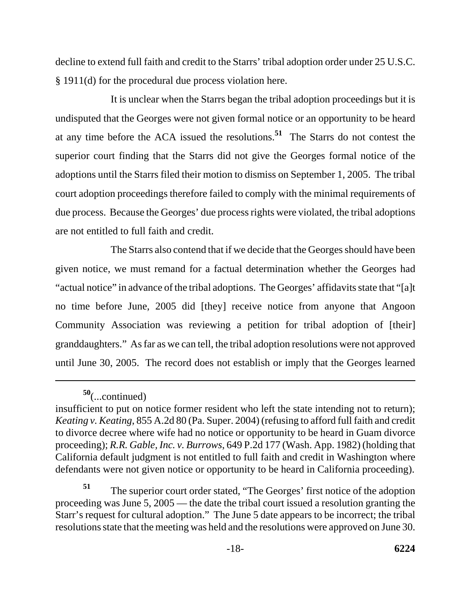decline to extend full faith and credit to the Starrs' tribal adoption order under 25 U.S.C. § 1911(d) for the procedural due process violation here.

It is unclear when the Starrs began the tribal adoption proceedings but it is undisputed that the Georges were not given formal notice or an opportunity to be heard at any time before the ACA issued the resolutions.**51** The Starrs do not contest the superior court finding that the Starrs did not give the Georges formal notice of the adoptions until the Starrs filed their motion to dismiss on September 1, 2005. The tribal court adoption proceedings therefore failed to comply with the minimal requirements of due process. Because the Georges' due process rights were violated, the tribal adoptions are not entitled to full faith and credit.

The Starrs also contend that if we decide that the Georges should have been given notice, we must remand for a factual determination whether the Georges had "actual notice" in advance of the tribal adoptions. The Georges' affidavits state that "[a]t no time before June, 2005 did [they] receive notice from anyone that Angoon Community Association was reviewing a petition for tribal adoption of [their] granddaughters." As far as we can tell, the tribal adoption resolutions were not approved until June 30, 2005. The record does not establish or imply that the Georges learned

**<sup>50</sup>**(...continued)

insufficient to put on notice former resident who left the state intending not to return); *Keating v. Keating*, 855 A.2d 80 (Pa. Super. 2004) (refusing to afford full faith and credit to divorce decree where wife had no notice or opportunity to be heard in Guam divorce proceeding); *R.R. Gable, Inc. v. Burrows*, 649 P.2d 177 (Wash. App. 1982) (holding that California default judgment is not entitled to full faith and credit in Washington where defendants were not given notice or opportunity to be heard in California proceeding).

**<sup>51</sup>** The superior court order stated, "The Georges' first notice of the adoption proceeding was June 5, 2005 — the date the tribal court issued a resolution granting the Starr's request for cultural adoption." The June 5 date appears to be incorrect; the tribal resolutions state that the meeting was held and the resolutions were approved on June 30.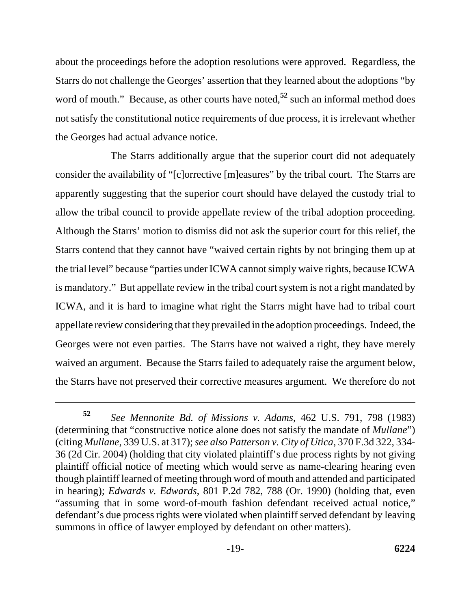about the proceedings before the adoption resolutions were approved. Regardless, the Starrs do not challenge the Georges' assertion that they learned about the adoptions "by word of mouth." Because, as other courts have noted,<sup>52</sup> such an informal method does not satisfy the constitutional notice requirements of due process, it is irrelevant whether the Georges had actual advance notice.

The Starrs additionally argue that the superior court did not adequately consider the availability of "[c]orrective [m]easures" by the tribal court. The Starrs are apparently suggesting that the superior court should have delayed the custody trial to allow the tribal council to provide appellate review of the tribal adoption proceeding. Although the Starrs' motion to dismiss did not ask the superior court for this relief, the Starrs contend that they cannot have "waived certain rights by not bringing them up at the trial level" because "parties under ICWA cannot simply waive rights, because ICWA is mandatory." But appellate review in the tribal court system is not a right mandated by ICWA, and it is hard to imagine what right the Starrs might have had to tribal court appellate review considering that they prevailed in the adoption proceedings. Indeed, the Georges were not even parties. The Starrs have not waived a right, they have merely waived an argument. Because the Starrs failed to adequately raise the argument below, the Starrs have not preserved their corrective measures argument. We therefore do not

**<sup>52</sup>** *See Mennonite Bd. of Missions v. Adams*, 462 U.S. 791, 798 (1983) (determining that "constructive notice alone does not satisfy the mandate of *Mullane*") (citing *Mullane*, 339 U.S. at 317); *see also Patterson v. City of Utica*, 370 F.3d 322, 334- 36 (2d Cir. 2004) (holding that city violated plaintiff's due process rights by not giving plaintiff official notice of meeting which would serve as name-clearing hearing even though plaintiff learned of meeting through word of mouth and attended and participated in hearing); *Edwards v. Edwards*, 801 P.2d 782, 788 (Or. 1990) (holding that, even "assuming that in some word-of-mouth fashion defendant received actual notice," defendant's due process rights were violated when plaintiff served defendant by leaving summons in office of lawyer employed by defendant on other matters).